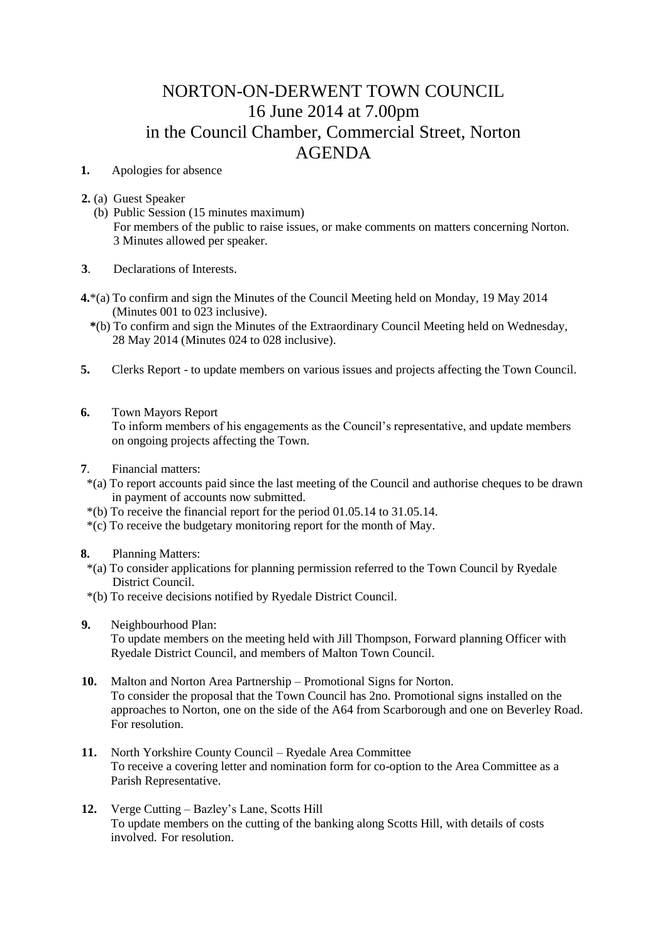## NORTON-ON-DERWENT TOWN COUNCIL 16 June 2014 at 7.00pm in the Council Chamber, Commercial Street, Norton AGENDA

## **1.** Apologies for absence

**2.** (a) Guest Speaker

 (b) Public Session (15 minutes maximum) For members of the public to raise issues, or make comments on matters concerning Norton. 3 Minutes allowed per speaker.

**3**. Declarations of Interests.

- **4.**\*(a) To confirm and sign the Minutes of the Council Meeting held on Monday, 19 May 2014 (Minutes 001 to 023 inclusive).
	- **\***(b) To confirm and sign the Minutes of the Extraordinary Council Meeting held on Wednesday, 28 May 2014 (Minutes 024 to 028 inclusive).
- **5.** Clerks Report to update members on various issues and projects affecting the Town Council.
- **6.** Town Mayors Report

 To inform members of his engagements as the Council's representative, and update members on ongoing projects affecting the Town.

- **7**. Financial matters:
- \*(a) To report accounts paid since the last meeting of the Council and authorise cheques to be drawn in payment of accounts now submitted.
- \*(b) To receive the financial report for the period 01.05.14 to 31.05.14.
- \*(c) To receive the budgetary monitoring report for the month of May.
- **8.** Planning Matters:
	- \*(a) To consider applications for planning permission referred to the Town Council by Ryedale District Council.
	- \*(b) To receive decisions notified by Ryedale District Council.
- **9.** Neighbourhood Plan:

 To update members on the meeting held with Jill Thompson, Forward planning Officer with Ryedale District Council, and members of Malton Town Council.

- **10.** Malton and Norton Area Partnership Promotional Signs for Norton. To consider the proposal that the Town Council has 2no. Promotional signs installed on the approaches to Norton, one on the side of the A64 from Scarborough and one on Beverley Road. For resolution.
- **11.** North Yorkshire County Council Ryedale Area Committee To receive a covering letter and nomination form for co-option to the Area Committee as a Parish Representative.
- **12.** Verge Cutting Bazley's Lane, Scotts Hill To update members on the cutting of the banking along Scotts Hill, with details of costs involved. For resolution.